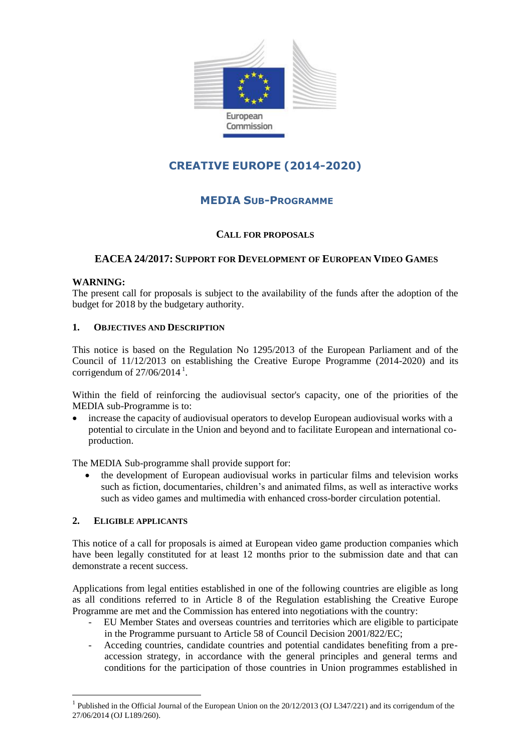

# **CREATIVE EUROPE (2014-2020)**

# **MEDIA SUB-PROGRAMME**

# **CALL FOR PROPOSALS**

# **EACEA 24/2017: SUPPORT FOR DEVELOPMENT OF EUROPEAN VIDEO GAMES**

# **WARNING:**

The present call for proposals is subject to the availability of the funds after the adoption of the budget for 2018 by the budgetary authority.

# **1. OBJECTIVES AND DESCRIPTION**

This notice is based on the Regulation No 1295/2013 of the European Parliament and of the Council of 11/12/2013 on establishing the Creative Europe Programme (2014-2020) and its corrigendum of  $27/06/2014$ <sup>1</sup>.

Within the field of reinforcing the audiovisual sector's capacity, one of the priorities of the MEDIA sub-Programme is to:

 increase the capacity of audiovisual operators to develop European audiovisual works with a potential to circulate in the Union and beyond and to facilitate European and international coproduction.

The MEDIA Sub-programme shall provide support for:

 the development of European audiovisual works in particular films and television works such as fiction, documentaries, children's and animated films, as well as interactive works such as video games and multimedia with enhanced cross-border circulation potential.

#### **2. ELIGIBLE APPLICANTS**

<u>.</u>

This notice of a call for proposals is aimed at European video game production companies which have been legally constituted for at least 12 months prior to the submission date and that can demonstrate a recent success.

Applications from legal entities established in one of the following countries are eligible as long as all conditions referred to in Article 8 of the Regulation establishing the Creative Europe Programme are met and the Commission has entered into negotiations with the country:

- EU Member States and overseas countries and territories which are eligible to participate in the Programme pursuant to Article 58 of Council Decision 2001/822/EC;
- Acceding countries, candidate countries and potential candidates benefiting from a preaccession strategy, in accordance with the general principles and general terms and conditions for the participation of those countries in Union programmes established in

<sup>&</sup>lt;sup>1</sup> Published in the Official Journal of the European Union on the 20/12/2013 (OJ L347/221) and its corrigendum of the 27/06/2014 (OJ L189/260).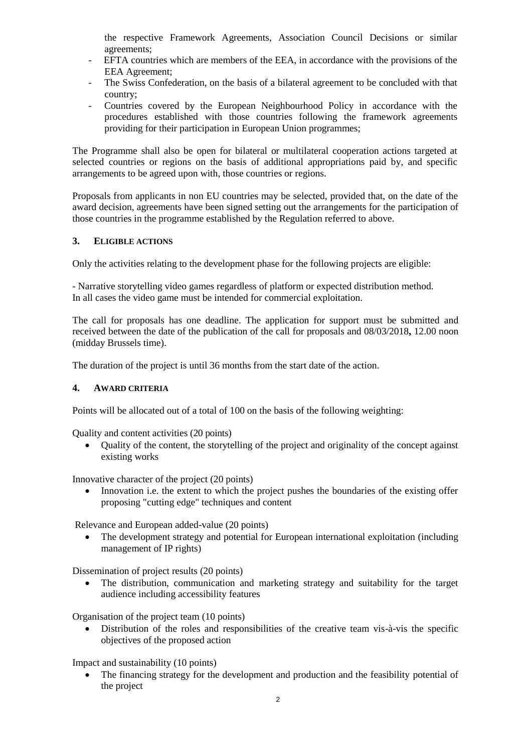the respective Framework Agreements, Association Council Decisions or similar agreements;

- EFTA countries which are members of the EEA, in accordance with the provisions of the EEA Agreement;
- The Swiss Confederation, on the basis of a bilateral agreement to be concluded with that country;
- Countries covered by the European Neighbourhood Policy in accordance with the procedures established with those countries following the framework agreements providing for their participation in European Union programmes;

The Programme shall also be open for bilateral or multilateral cooperation actions targeted at selected countries or regions on the basis of additional appropriations paid by, and specific arrangements to be agreed upon with, those countries or regions.

Proposals from applicants in non EU countries may be selected, provided that, on the date of the award decision, agreements have been signed setting out the arrangements for the participation of those countries in the programme established by the Regulation referred to above.

# **3. ELIGIBLE ACTIONS**

Only the activities relating to the development phase for the following projects are eligible:

- Narrative storytelling video games regardless of platform or expected distribution method. In all cases the video game must be intended for commercial exploitation.

The call for proposals has one deadline. The application for support must be submitted and received between the date of the publication of the call for proposals and 08/03/2018**,** 12.00 noon (midday Brussels time).

The duration of the project is until 36 months from the start date of the action.

#### **4. AWARD CRITERIA**

Points will be allocated out of a total of 100 on the basis of the following weighting:

Quality and content activities (20 points)

 Quality of the content, the storytelling of the project and originality of the concept against existing works

Innovative character of the project (20 points)

 Innovation i.e. the extent to which the project pushes the boundaries of the existing offer proposing "cutting edge" techniques and content

Relevance and European added-value (20 points)

 The development strategy and potential for European international exploitation (including management of IP rights)

Dissemination of project results (20 points)

 The distribution, communication and marketing strategy and suitability for the target audience including accessibility features

Organisation of the project team (10 points)

 Distribution of the roles and responsibilities of the creative team vis-à-vis the specific objectives of the proposed action

Impact and sustainability (10 points)

 The financing strategy for the development and production and the feasibility potential of the project